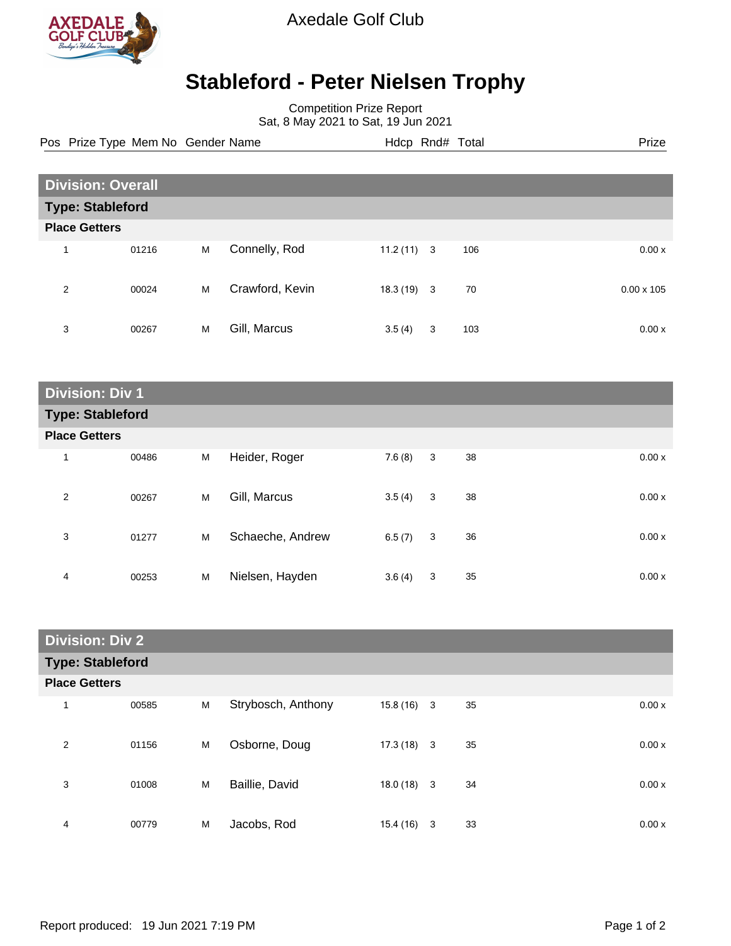

Axedale Golf Club

## **Stableford - Peter Nielsen Trophy**

Competition Prize Report Sat, 8 May 2021 to Sat, 19 Jun 2021

| Pos Prize Type Mem No Gender Name | Hdcp Rnd# Total | Prize |
|-----------------------------------|-----------------|-------|

| <b>Division: Overall</b> |       |   |                 |              |   |     |                   |  |  |
|--------------------------|-------|---|-----------------|--------------|---|-----|-------------------|--|--|
| <b>Type: Stableford</b>  |       |   |                 |              |   |     |                   |  |  |
| <b>Place Getters</b>     |       |   |                 |              |   |     |                   |  |  |
| 1                        | 01216 | M | Connelly, Rod   | $11.2(11)$ 3 |   | 106 | 0.00x             |  |  |
| 2                        | 00024 | M | Crawford, Kevin | $18.3(19)$ 3 |   | 70  | $0.00 \times 105$ |  |  |
| 3                        | 00267 | M | Gill, Marcus    | 3.5(4)       | 3 | 103 | 0.00x             |  |  |

| <b>Division: Div 1</b>  |       |   |                  |        |   |    |       |  |  |
|-------------------------|-------|---|------------------|--------|---|----|-------|--|--|
| <b>Type: Stableford</b> |       |   |                  |        |   |    |       |  |  |
| <b>Place Getters</b>    |       |   |                  |        |   |    |       |  |  |
| 1                       | 00486 | M | Heider, Roger    | 7.6(8) | 3 | 38 | 0.00x |  |  |
| 2                       | 00267 | M | Gill, Marcus     | 3.5(4) | 3 | 38 | 0.00x |  |  |
| 3                       | 01277 | M | Schaeche, Andrew | 6.5(7) | 3 | 36 | 0.00x |  |  |
| 4                       | 00253 | M | Nielsen, Hayden  | 3.6(4) | 3 | 35 | 0.00x |  |  |

| <b>Division: Div 2</b>  |                      |   |                    |              |  |    |       |  |  |
|-------------------------|----------------------|---|--------------------|--------------|--|----|-------|--|--|
| <b>Type: Stableford</b> |                      |   |                    |              |  |    |       |  |  |
|                         | <b>Place Getters</b> |   |                    |              |  |    |       |  |  |
| 1                       | 00585                | M | Strybosch, Anthony | $15.8(16)$ 3 |  | 35 | 0.00x |  |  |
| 2                       | 01156                | M | Osborne, Doug      | $17.3(18)$ 3 |  | 35 | 0.00x |  |  |
| 3                       | 01008                | M | Baillie, David     | $18.0(18)$ 3 |  | 34 | 0.00x |  |  |
| 4                       | 00779                | M | Jacobs, Rod        | $15.4(16)$ 3 |  | 33 | 0.00x |  |  |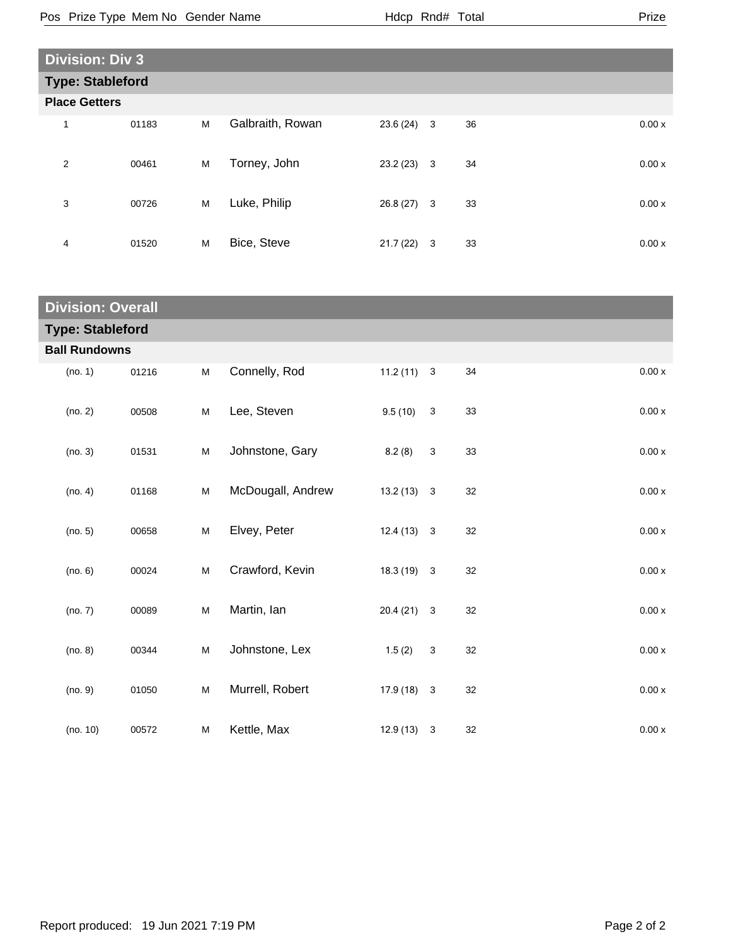| <b>Division: Div 3</b> |                         |   |                  |              |  |    |       |  |  |
|------------------------|-------------------------|---|------------------|--------------|--|----|-------|--|--|
|                        | <b>Type: Stableford</b> |   |                  |              |  |    |       |  |  |
|                        | <b>Place Getters</b>    |   |                  |              |  |    |       |  |  |
| 1                      | 01183                   | M | Galbraith, Rowan | $23.6(24)$ 3 |  | 36 | 0.00x |  |  |
| 2                      | 00461                   | M | Torney, John     | $23.2(23)$ 3 |  | 34 | 0.00x |  |  |
| 3                      | 00726                   | M | Luke, Philip     | $26.8(27)$ 3 |  | 33 | 0.00x |  |  |
| 4                      | 01520                   | M | Bice, Steve      | $21.7(22)$ 3 |  | 33 | 0.00x |  |  |

| <b>Division: Overall</b> |                      |                                                                                       |                   |              |              |    |        |  |  |  |
|--------------------------|----------------------|---------------------------------------------------------------------------------------|-------------------|--------------|--------------|----|--------|--|--|--|
| <b>Type: Stableford</b>  |                      |                                                                                       |                   |              |              |    |        |  |  |  |
|                          | <b>Ball Rundowns</b> |                                                                                       |                   |              |              |    |        |  |  |  |
| (no. 1)                  | 01216                | M                                                                                     | Connelly, Rod     | $11.2(11)$ 3 |              | 34 | 0.00 x |  |  |  |
| (no. 2)                  | 00508                | M                                                                                     | Lee, Steven       | 9.5(10)      | $\sqrt{3}$   | 33 | 0.00 x |  |  |  |
| (no. 3)                  | 01531                | M                                                                                     | Johnstone, Gary   | 8.2(8)       | $\mathbf{3}$ | 33 | 0.00x  |  |  |  |
| (no. 4)                  | 01168                | $\mathsf{M}% _{T}=\mathsf{M}_{T}\!\left( a,b\right) ,\ \mathsf{M}_{T}=\mathsf{M}_{T}$ | McDougall, Andrew | $13.2(13)$ 3 |              | 32 | 0.00 x |  |  |  |
| (no. 5)                  | 00658                | M                                                                                     | Elvey, Peter      | $12.4(13)$ 3 |              | 32 | 0.00 x |  |  |  |
| (no. 6)                  | 00024                | M                                                                                     | Crawford, Kevin   | $18.3(19)$ 3 |              | 32 | 0.00 x |  |  |  |
| (no. 7)                  | 00089                | $\mathsf{M}% _{T}=\mathsf{M}_{T}\!\left( a,b\right) ,\ \mathsf{M}_{T}=\mathsf{M}_{T}$ | Martin, lan       | $20.4(21)$ 3 |              | 32 | 0.00 x |  |  |  |
| (no. 8)                  | 00344                | M                                                                                     | Johnstone, Lex    | 1.5(2)       | $\mathbf{3}$ | 32 | 0.00x  |  |  |  |
| (no. 9)                  | 01050                | M                                                                                     | Murrell, Robert   | $17.9(18)$ 3 |              | 32 | 0.00x  |  |  |  |
| (no. 10)                 | 00572                | M                                                                                     | Kettle, Max       | $12.9(13)$ 3 |              | 32 | 0.00x  |  |  |  |